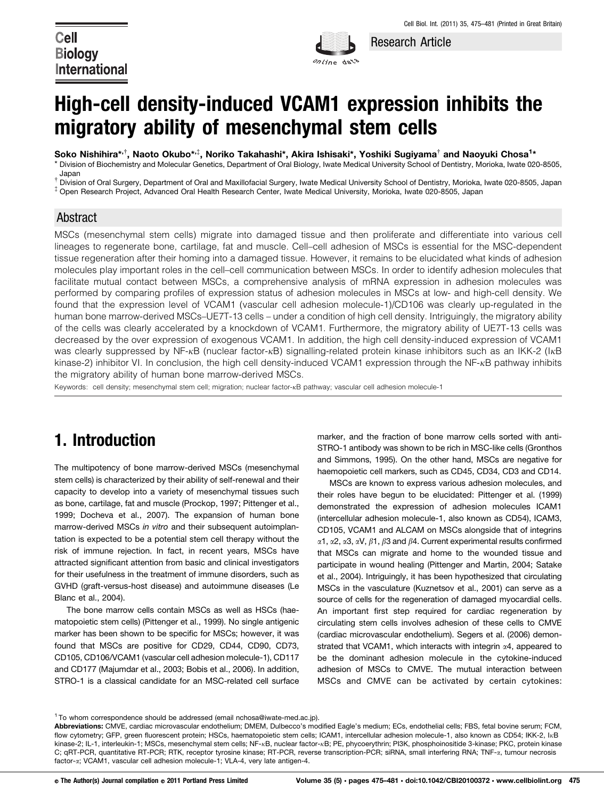**Cell Biology International** 



Research Article

# High-cell density-induced VCAM1 expression inhibits the migratory ability of mesenchymal stem cells

Soko Nishihira\*<sup>,†</sup>, Naoto Okubo\*<sup>,‡</sup>, Noriko Takahashi\*, Akira Ishisaki\*, Yoshiki Sugiyama<sup>†</sup> and Naoyuki Chosa<sup>1</sup>\* \* Division of Biochemistry and Molecular Genetics, Department of Oral Biology, Iwate Medical University School of Dentistry, Morioka, Iwate 020-8505, Japan

t Division of Oral Surgery, Department of Oral and Maxillofacial Surgery, Iwate Medical University School of Dentistry, Morioka, Iwate 020-8505, Japan<br>‡ Open Research Project, Advanced Oral Health Research Center, Iwate Me

### Abstract

MSCs (mesenchymal stem cells) migrate into damaged tissue and then proliferate and differentiate into various cell lineages to regenerate bone, cartilage, fat and muscle. Cell–cell adhesion of MSCs is essential for the MSC-dependent tissue regeneration after their homing into a damaged tissue. However, it remains to be elucidated what kinds of adhesion molecules play important roles in the cell–cell communication between MSCs. In order to identify adhesion molecules that facilitate mutual contact between MSCs, a comprehensive analysis of mRNA expression in adhesion molecules was performed by comparing profiles of expression status of adhesion molecules in MSCs at low- and high-cell density. We found that the expression level of VCAM1 (vascular cell adhesion molecule-1)/CD106 was clearly up-regulated in the human bone marrow-derived MSCs–UE7T-13 cells – under a condition of high cell density. Intriguingly, the migratory ability of the cells was clearly accelerated by a knockdown of VCAM1. Furthermore, the migratory ability of UE7T-13 cells was decreased by the over expression of exogenous VCAM1. In addition, the high cell density-induced expression of VCAM1 was clearly suppressed by NF-<sub>KB</sub> (nuclear factor-<sub>KB</sub>) signalling-related protein kinase inhibitors such as an IKK-2 (I<sub>KB</sub> kinase-2) inhibitor VI. In conclusion, the high cell density-induced VCAM1 expression through the NF- $kB$  pathway inhibits the migratory ability of human bone marrow-derived MSCs.

Keywords: cell density; mesenchymal stem cell; migration; nuclear factor-<sub>KB</sub> pathway; vascular cell adhesion molecule-1

## 1. Introduction

The multipotency of bone marrow-derived MSCs (mesenchymal stem cells) is characterized by their ability of self-renewal and their capacity to develop into a variety of mesenchymal tissues such as bone, cartilage, fat and muscle (Prockop, 1997; Pittenger et al., 1999; Docheva et al., 2007). The expansion of human bone marrow-derived MSCs in vitro and their subsequent autoimplantation is expected to be a potential stem cell therapy without the risk of immune rejection. In fact, in recent years, MSCs have attracted significant attention from basic and clinical investigators for their usefulness in the treatment of immune disorders, such as GVHD (graft-versus-host disease) and autoimmune diseases (Le Blanc et al., 2004).

The bone marrow cells contain MSCs as well as HSCs (haematopoietic stem cells) (Pittenger et al., 1999). No single antigenic marker has been shown to be specific for MSCs; however, it was found that MSCs are positive for CD29, CD44, CD90, CD73, CD105, CD106/VCAM1 (vascular cell adhesion molecule-1), CD117 and CD177 (Majumdar et al., 2003; Bobis et al., 2006). In addition, STRO-1 is a classical candidate for an MSC-related cell surface

marker, and the fraction of bone marrow cells sorted with anti-STRO-1 antibody was shown to be rich in MSC-like cells (Gronthos and Simmons, 1995). On the other hand, MSCs are negative for haemopoietic cell markers, such as CD45, CD34, CD3 and CD14.

MSCs are known to express various adhesion molecules, and their roles have begun to be elucidated: Pittenger et al. (1999) demonstrated the expression of adhesion molecules ICAM1 (intercellular adhesion molecule-1, also known as CD54), ICAM3, CD105, VCAM1 and ALCAM on MSCs alongside that of integrins  $\alpha$ 1,  $\alpha$ 2,  $\alpha$ 3,  $\alpha$ V,  $\beta$ 1,  $\beta$ 3 and  $\beta$ 4. Current experimental results confirmed that MSCs can migrate and home to the wounded tissue and participate in wound healing (Pittenger and Martin, 2004; Satake et al., 2004). Intriguingly, it has been hypothesized that circulating MSCs in the vasculature (Kuznetsov et al., 2001) can serve as a source of cells for the regeneration of damaged myocardial cells. An important first step required for cardiac regeneration by circulating stem cells involves adhesion of these cells to CMVE (cardiac microvascular endothelium). Segers et al. (2006) demonstrated that VCAM1, which interacts with integrin  $\alpha$ 4, appeared to be the dominant adhesion molecule in the cytokine-induced adhesion of MSCs to CMVE. The mutual interaction between MSCs and CMVE can be activated by certain cytokines:

<sup>&</sup>lt;sup>1</sup> To whom correspondence should be addressed (email nchosa@iwate-med.ac.jp).

Abbreviations: CMVE, cardiac microvascular endothelium; DMEM, Dulbecco's modified Eagle's medium; ECs, endothelial cells; FBS, fetal bovine serum; FCM, flow cytometry; GFP, green fluorescent protein; HSCs, haematopoietic stem cells; ICAM1, intercellular adhesion molecule-1, also known as CD54; IKK-2, IkB kinase-2; IL-1, interleukin-1; MSCs, mesenchymal stem cells; NF-<sub>K</sub>B, nuclear factor-<sub>K</sub>B; PE, phycoerythrin; PI3K, phosphoinositide 3-kinase; PKC, protein kinase C; qRT-PCR, quantitative RT-PCR; RTK, receptor tyrosine kinase; RT-PCR, reverse transcription-PCR; siRNA, small interfering RNA; TNF-x, tumour necrosis factor-a; VCAM1, vascular cell adhesion molecule-1; VLA-4, very late antigen-4.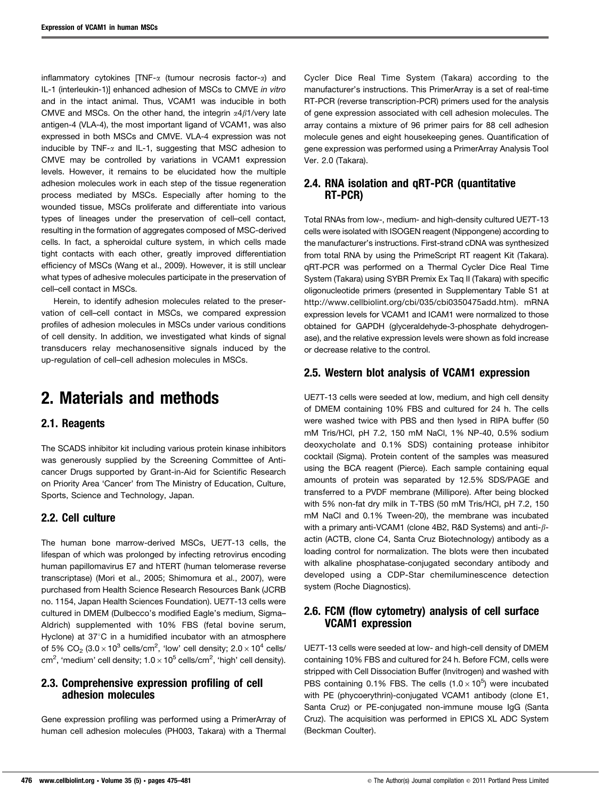inflammatory cytokines  $\text{TNF-}\alpha$  (tumour necrosis factor- $\alpha$ ) and IL-1 (interleukin-1)] enhanced adhesion of MSCs to CMVE in vitro and in the intact animal. Thus, VCAM1 was inducible in both CMVE and MSCs. On the other hand, the integrin  $\alpha$ 4 $\beta$ 1/very late antigen-4 (VLA-4), the most important ligand of VCAM1, was also expressed in both MSCs and CMVE. VLA-4 expression was not inducible by TNF- $\alpha$  and IL-1, suggesting that MSC adhesion to CMVE may be controlled by variations in VCAM1 expression levels. However, it remains to be elucidated how the multiple adhesion molecules work in each step of the tissue regeneration process mediated by MSCs. Especially after homing to the wounded tissue, MSCs proliferate and differentiate into various types of lineages under the preservation of cell–cell contact, resulting in the formation of aggregates composed of MSC-derived cells. In fact, a spheroidal culture system, in which cells made tight contacts with each other, greatly improved differentiation efficiency of MSCs (Wang et al., 2009). However, it is still unclear what types of adhesive molecules participate in the preservation of cell–cell contact in MSCs.

Herein, to identify adhesion molecules related to the preservation of cell–cell contact in MSCs, we compared expression profiles of adhesion molecules in MSCs under various conditions of cell density. In addition, we investigated what kinds of signal transducers relay mechanosensitive signals induced by the up-regulation of cell–cell adhesion molecules in MSCs.

## 2. Materials and methods

### 2.1. Reagents

The SCADS inhibitor kit including various protein kinase inhibitors was generously supplied by the Screening Committee of Anticancer Drugs supported by Grant-in-Aid for Scientific Research on Priority Area 'Cancer' from The Ministry of Education, Culture, Sports, Science and Technology, Japan.

### 2.2. Cell culture

The human bone marrow-derived MSCs, UE7T-13 cells, the lifespan of which was prolonged by infecting retrovirus encoding human papillomavirus E7 and hTERT (human telomerase reverse transcriptase) (Mori et al., 2005; Shimomura et al., 2007), were purchased from Health Science Research Resources Bank (JCRB no. 1154, Japan Health Sciences Foundation). UE7T-13 cells were cultured in DMEM (Dulbecco's modified Eagle's medium, Sigma– Aldrich) supplemented with 10% FBS (fetal bovine serum, Hyclone) at  $37^{\circ}$ C in a humidified incubator with an atmosphere of 5% CO $_2$  (3.0  $\times$  10<sup>3</sup> cells/cm<sup>2</sup>, 'low' cell density; 2.0  $\times$  10<sup>4</sup> cells/ cm<sup>2</sup>, 'medium' cell density;  $1.0 \times 10^5$  cells/cm<sup>2</sup>, 'high' cell density).

#### 2.3. Comprehensive expression profiling of cell adhesion molecules

Gene expression profiling was performed using a PrimerArray of human cell adhesion molecules (PH003, Takara) with a Thermal Cycler Dice Real Time System (Takara) according to the manufacturer's instructions. This PrimerArray is a set of real-time RT-PCR (reverse transcription-PCR) primers used for the analysis of gene expression associated with cell adhesion molecules. The array contains a mixture of 96 primer pairs for 88 cell adhesion molecule genes and eight housekeeping genes. Quantification of gene expression was performed using a PrimerArray Analysis Tool Ver. 2.0 (Takara).

### 2.4. RNA isolation and *GRT-PCR* (quantitative RT-PCR)

Total RNAs from low-, medium- and high-density cultured UE7T-13 cells were isolated with ISOGEN reagent (Nippongene) according to the manufacturer's instructions. First-strand cDNA was synthesized from total RNA by using the PrimeScript RT reagent Kit (Takara). qRT-PCR was performed on a Thermal Cycler Dice Real Time System (Takara) using SYBR Premix Ex Taq II (Takara) with specific oligonucleotide primers (presented in Supplementary Table S1 at http://www.cellbiolint.org/cbi/035/cbi0350475add.htm). mRNA expression levels for VCAM1 and ICAM1 were normalized to those obtained for GAPDH (glyceraldehyde-3-phosphate dehydrogenase), and the relative expression levels were shown as fold increase or decrease relative to the control.

#### 2.5. Western blot analysis of VCAM1 expression

UE7T-13 cells were seeded at low, medium, and high cell density of DMEM containing 10% FBS and cultured for 24 h. The cells were washed twice with PBS and then lysed in RIPA buffer (50 mM Tris/HCl, pH 7.2, 150 mM NaCl, 1% NP-40, 0.5% sodium deoxycholate and 0.1% SDS) containing protease inhibitor cocktail (Sigma). Protein content of the samples was measured using the BCA reagent (Pierce). Each sample containing equal amounts of protein was separated by 12.5% SDS/PAGE and transferred to a PVDF membrane (Millipore). After being blocked with 5% non-fat dry milk in T-TBS (50 mM Tris/HCl, pH 7.2, 150 mM NaCl and 0.1% Tween-20), the membrane was incubated with a primary anti-VCAM1 (clone 4B2, R&D Systems) and anti- $\beta$ actin (ACTB, clone C4, Santa Cruz Biotechnology) antibody as a loading control for normalization. The blots were then incubated with alkaline phosphatase-conjugated secondary antibody and developed using a CDP-Star chemiluminescence detection system (Roche Diagnostics).

#### 2.6. FCM (flow cytometry) analysis of cell surface VCAM1 expression

UE7T-13 cells were seeded at low- and high-cell density of DMEM containing 10% FBS and cultured for 24 h. Before FCM, cells were stripped with Cell Dissociation Buffer (Invitrogen) and washed with PBS containing 0.1% FBS. The cells  $(1.0 \times 10^5)$  were incubated with PE (phycoerythrin)-conjugated VCAM1 antibody (clone E1, Santa Cruz) or PE-conjugated non-immune mouse IgG (Santa Cruz). The acquisition was performed in EPICS XL ADC System (Beckman Coulter).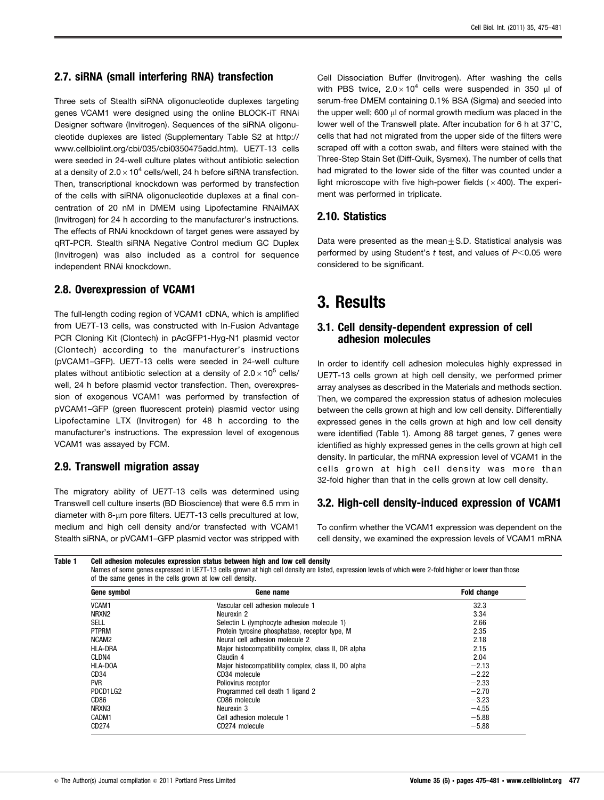### 2.7. siRNA (small interfering RNA) transfection

Three sets of Stealth siRNA oligonucleotide duplexes targeting genes VCAM1 were designed using the online BLOCK-iT RNAi Designer software (Invitrogen). Sequences of the siRNA oligonucleotide duplexes are listed (Supplementary Table S2 at http:// www.cellbiolint.org/cbi/035/cbi0350475add.htm). UE7T-13 cells were seeded in 24-well culture plates without antibiotic selection at a density of  $2.0\times10^4$  cells/well, 24 h before siRNA transfection. Then, transcriptional knockdown was performed by transfection of the cells with siRNA oligonucleotide duplexes at a final concentration of 20 nM in DMEM using Lipofectamine RNAiMAX (Invitrogen) for 24 h according to the manufacturer's instructions. The effects of RNAi knockdown of target genes were assayed by qRT-PCR. Stealth siRNA Negative Control medium GC Duplex (Invitrogen) was also included as a control for sequence independent RNAi knockdown.

#### 2.8. Overexpression of VCAM1

The full-length coding region of VCAM1 cDNA, which is amplified from UE7T-13 cells, was constructed with In-Fusion Advantage PCR Cloning Kit (Clontech) in pAcGFP1-Hyg-N1 plasmid vector (Clontech) according to the manufacturer's instructions (pVCAM1–GFP). UE7T-13 cells were seeded in 24-well culture plates without antibiotic selection at a density of  $2.0\times10^5$  cells/ well, 24 h before plasmid vector transfection. Then, overexpression of exogenous VCAM1 was performed by transfection of pVCAM1–GFP (green fluorescent protein) plasmid vector using Lipofectamine LTX (Invitrogen) for 48 h according to the manufacturer's instructions. The expression level of exogenous VCAM1 was assayed by FCM.

### 2.9. Transwell migration assay

The migratory ability of UE7T-13 cells was determined using Transwell cell culture inserts (BD Bioscience) that were 6.5 mm in diameter with 8- $\mu$ m pore filters. UE7T-13 cells precultured at low, medium and high cell density and/or transfected with VCAM1 Stealth siRNA, or pVCAM1–GFP plasmid vector was stripped with Cell Dissociation Buffer (Invitrogen). After washing the cells with PBS twice,  $2.0 \times 10^4$  cells were suspended in 350  $\mu$ l of serum-free DMEM containing 0.1% BSA (Sigma) and seeded into the upper well;  $600 \mu l$  of normal growth medium was placed in the lower well of the Transwell plate. After incubation for 6 h at  $37^{\circ}$ C, cells that had not migrated from the upper side of the filters were scraped off with a cotton swab, and filters were stained with the Three-Step Stain Set (Diff-Quik, Sysmex). The number of cells that had migrated to the lower side of the filter was counted under a light microscope with five high-power fields ( $\times$  400). The experiment was performed in triplicate.

### 2.10. Statistics

Data were presented as the mean $\pm$ S.D. Statistical analysis was performed by using Student's  $t$  test, and values of  $P<0.05$  were considered to be significant.

## 3. Results

#### 3.1. Cell density-dependent expression of cell adhesion molecules

In order to identify cell adhesion molecules highly expressed in UE7T-13 cells grown at high cell density, we performed primer array analyses as described in the Materials and methods section. Then, we compared the expression status of adhesion molecules between the cells grown at high and low cell density. Differentially expressed genes in the cells grown at high and low cell density were identified (Table 1). Among 88 target genes, 7 genes were identified as highly expressed genes in the cells grown at high cell density. In particular, the mRNA expression level of VCAM1 in the cells grown at high cell density was more than 32-fold higher than that in the cells grown at low cell density.

### 3.2. High-cell density-induced expression of VCAM1

To confirm whether the VCAM1 expression was dependent on the cell density, we examined the expression levels of VCAM1 mRNA

```
Table 1 Cell adhesion molecules expression status between high and low cell density
```
Names of some genes expressed in UE7T-13 cells grown at high cell density are listed, expression levels of which were 2-fold higher or lower than those of the same genes in the cells grown at low cell density.

| Gene symbol       | Gene name                                            | <b>Fold change</b> |
|-------------------|------------------------------------------------------|--------------------|
| VCAM1             | Vascular cell adhesion molecule 1                    | 32.3               |
| NRXN <sub>2</sub> | Neurexin 2                                           | 3.34               |
| SELL              | Selectin L (lymphocyte adhesion molecule 1)          | 2.66               |
| <b>PTPRM</b>      | Protein tyrosine phosphatase, receptor type, M       | 2.35               |
| NCAM2             | Neural cell adhesion molecule 2                      | 2.18               |
| <b>HLA-DRA</b>    | Major histocompatibility complex, class II, DR alpha | 2.15               |
| CLDN4             | Claudin 4                                            | 2.04               |
| HLA-DOA           | Major histocompatibility complex, class II, DO alpha | $-2.13$            |
| CD <sub>34</sub>  | CD34 molecule                                        | $-2.22$            |
| <b>PVR</b>        | Poliovirus receptor                                  | $-2.33$            |
| PDCD1LG2          | Programmed cell death 1 ligand 2                     | $-2.70$            |
| CD86              | CD86 molecule                                        | $-3.23$            |
| NRXN3             | Neurexin 3                                           | $-4.55$            |
| CADM1             | Cell adhesion molecule 1                             | $-5.88$            |
| CD274             | CD274 molecule                                       | $-5.88$            |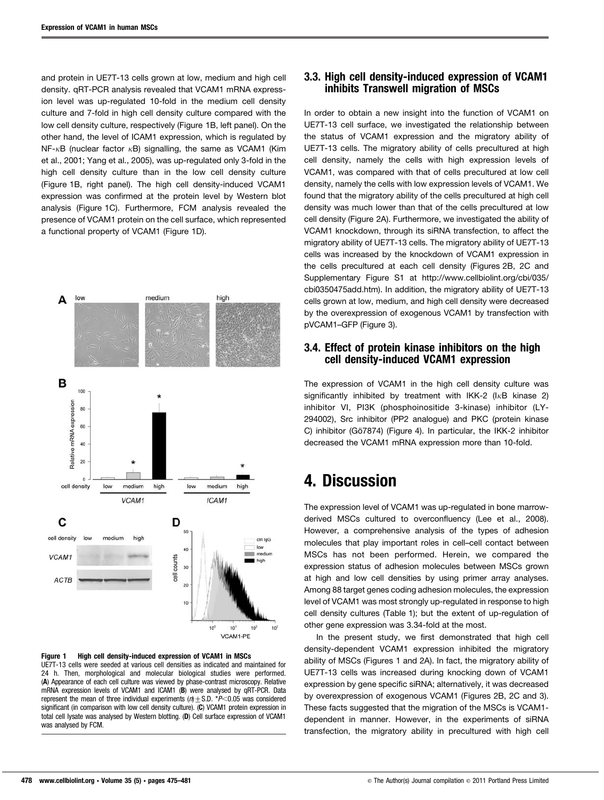and protein in UE7T-13 cells grown at low, medium and high cell density. qRT-PCR analysis revealed that VCAM1 mRNA expression level was up-regulated 10-fold in the medium cell density culture and 7-fold in high cell density culture compared with the low cell density culture, respectively (Figure 1B, left panel). On the other hand, the level of ICAM1 expression, which is regulated by  $NF-\kappa B$  (nuclear factor  $\kappa B$ ) signalling, the same as VCAM1 (Kim et al., 2001; Yang et al., 2005), was up-regulated only 3-fold in the high cell density culture than in the low cell density culture (Figure 1B, right panel). The high cell density-induced VCAM1 expression was confirmed at the protein level by Western blot analysis (Figure 1C). Furthermore, FCM analysis revealed the presence of VCAM1 protein on the cell surface, which represented a functional property of VCAM1 (Figure 1D).





#### 3.3. High cell density-induced expression of VCAM1 inhibits Transwell migration of MSCs

In order to obtain a new insight into the function of VCAM1 on UE7T-13 cell surface, we investigated the relationship between the status of VCAM1 expression and the migratory ability of UE7T-13 cells. The migratory ability of cells precultured at high cell density, namely the cells with high expression levels of VCAM1, was compared with that of cells precultured at low cell density, namely the cells with low expression levels of VCAM1. We found that the migratory ability of the cells precultured at high cell density was much lower than that of the cells precultured at low cell density (Figure 2A). Furthermore, we investigated the ability of VCAM1 knockdown, through its siRNA transfection, to affect the migratory ability of UE7T-13 cells. The migratory ability of UE7T-13 cells was increased by the knockdown of VCAM1 expression in the cells precultured at each cell density (Figures 2B, 2C and Supplementary Figure S1 at http://www.cellbiolint.org/cbi/035/ cbi0350475add.htm). In addition, the migratory ability of UE7T-13 cells grown at low, medium, and high cell density were decreased by the overexpression of exogenous VCAM1 by transfection with pVCAM1–GFP (Figure 3).

#### 3.4. Effect of protein kinase inhibitors on the high cell density-induced VCAM1 expression

The expression of VCAM1 in the high cell density culture was significantly inhibited by treatment with IKK-2 ( $I\kappa B$  kinase 2) inhibitor VI, PI3K (phosphoinositide 3-kinase) inhibitor (LY-294002), Src inhibitor (PP2 analogue) and PKC (protein kinase C) inhibitor (Gö7874) (Figure 4). In particular, the IKK-2 inhibitor decreased the VCAM1 mRNA expression more than 10-fold.

## 4. Discussion

The expression level of VCAM1 was up-regulated in bone marrowderived MSCs cultured to overconfluency (Lee et al., 2008). However, a comprehensive analysis of the types of adhesion molecules that play important roles in cell–cell contact between MSCs has not been performed. Herein, we compared the expression status of adhesion molecules between MSCs grown at high and low cell densities by using primer array analyses. Among 88 target genes coding adhesion molecules, the expression level of VCAM1 was most strongly up-regulated in response to high cell density cultures (Table 1); but the extent of up-regulation of other gene expression was 3.34-fold at the most.

In the present study, we first demonstrated that high cell density-dependent VCAM1 expression inhibited the migratory ability of MSCs (Figures 1 and 2A). In fact, the migratory ability of UE7T-13 cells was increased during knocking down of VCAM1 expression by gene specific siRNA; alternatively, it was decreased by overexpression of exogenous VCAM1 (Figures 2B, 2C and 3). These facts suggested that the migration of the MSCs is VCAM1 dependent in manner. However, in the experiments of siRNA transfection, the migratory ability in precultured with high cell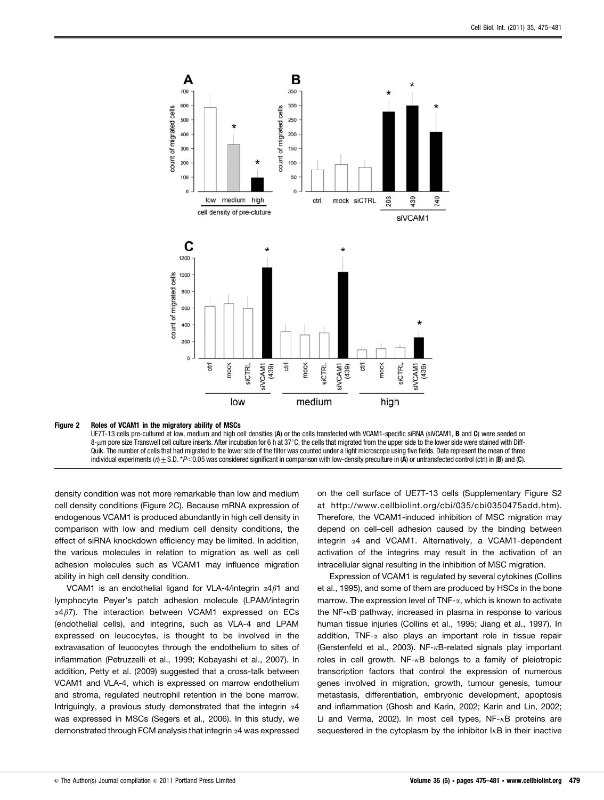

#### Figure 2 Roles of VCAM1 in the migratory ability of MSCs

UE7T-13 cells pre-cultured at low, medium and high cell densities (A) or the cells transfected with VCAM1-specific siRNA (siVCAM1, B and C) were seeded on 8-µm pore size Transwell cell culture inserts. After incubation for 6 h at  $37^{\circ}$ C, the cells that migrated from the upper side to the lower side were stained with Diff-Quik. The number of cells that had migrated to the lower side of the filter was counted under a light microscope using five fields. Data represent the mean of three individual experiments ( $n + S.D. *P < 0.05$  was considered significant in comparison with low-density preculture in (A) or untransfected control (ctrl) in (B) and (C).

density condition was not more remarkable than low and medium cell density conditions (Figure 2C). Because mRNA expression of endogenous VCAM1 is produced abundantly in high cell density in comparison with low and medium cell density conditions, the effect of siRNA knockdown efficiency may be limited. In addition, the various molecules in relation to migration as well as cell adhesion molecules such as VCAM1 may influence migration ability in high cell density condition.

VCAM1 is an endothelial ligand for VLA-4/integrin  $\alpha$ 4 $\beta$ 1 and lymphocyte Peyer's patch adhesion molecule (LPAM/integrin  $\alpha$ 4 $\beta$ 7). The interaction between VCAM1 expressed on ECs (endothelial cells), and integrins, such as VLA-4 and LPAM expressed on leucocytes, is thought to be involved in the extravasation of leucocytes through the endothelium to sites of inflammation (Petruzzelli et al., 1999; Kobayashi et al., 2007). In addition, Petty et al. (2009) suggested that a cross-talk between VCAM1 and VLA-4, which is expressed on marrow endothelium and stroma, regulated neutrophil retention in the bone marrow. Intriguingly, a previous study demonstrated that the integrin  $\alpha$ 4 was expressed in MSCs (Segers et al., 2006). In this study, we demonstrated through FCM analysis that integrin a4 was expressed on the cell surface of UE7T-13 cells (Supplementary Figure S2 at http://www.cellbiolint.org/cbi/035/cbi0350475add.htm). Therefore, the VCAM1-induced inhibition of MSC migration may depend on cell–cell adhesion caused by the binding between integrin a4 and VCAM1. Alternatively, a VCAM1-dependent activation of the integrins may result in the activation of an intracellular signal resulting in the inhibition of MSC migration.

Expression of VCAM1 is regulated by several cytokines (Collins et al., 1995), and some of them are produced by HSCs in the bone marrow. The expression level of TNF- $\alpha$ , which is known to activate the  $NF - \kappa B$  pathway, increased in plasma in response to various human tissue injuries (Collins et al., 1995; Jiang et al., 1997). In addition, TNF- $\alpha$  also plays an important role in tissue repair (Gerstenfeld et al., 2003). NF- $\kappa$ B-related signals play important roles in cell growth.  $NF-xB$  belongs to a family of pleiotropic transcription factors that control the expression of numerous genes involved in migration, growth, tumour genesis, tumour metastasis, differentiation, embryonic development, apoptosis and inflammation (Ghosh and Karin, 2002; Karin and Lin, 2002; Li and Verma, 2002). In most cell types, NF- $\kappa$ B proteins are sequestered in the cytoplasm by the inhibitor  $I<sub>K</sub>B$  in their inactive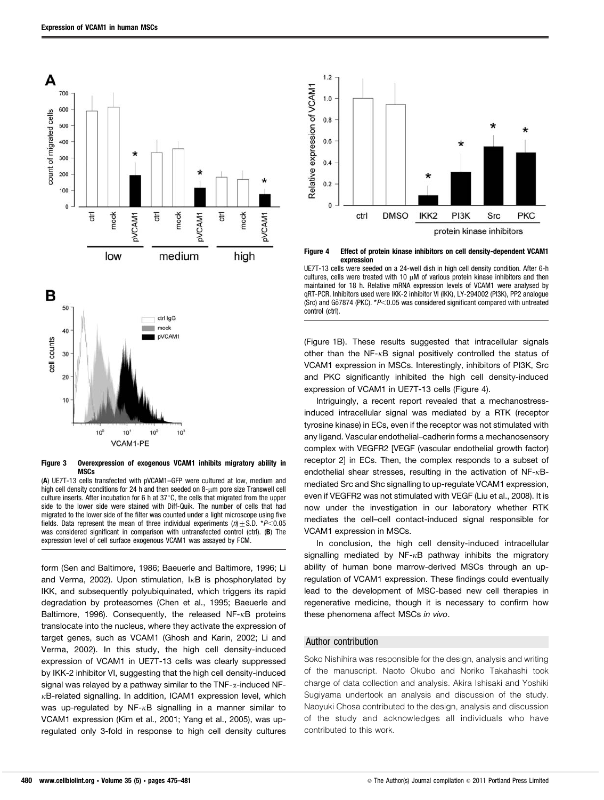



Figure 3 Overexpression of exogenous VCAM1 inhibits migratory ability in MSCs

(A) UE7T-13 cells transfected with pVCAM1–GFP were cultured at low, medium and high cell density conditions for 24 h and then seeded on  $8-\mu m$  pore size Transwell cell culture inserts. After incubation for 6 h at  $37^{\circ}$ C, the cells that migrated from the upper side to the lower side were stained with Diff-Quik. The number of cells that had migrated to the lower side of the filter was counted under a light microscope using five fields. Data represent the mean of three individual experiments ( $n$ ) + S.D. \*P<0.05 was considered significant in comparison with untransfected control (ctrl). (B) The expression level of cell surface exogenous VCAM1 was assayed by FCM.

form (Sen and Baltimore, 1986; Baeuerle and Baltimore, 1996; Li and Verma, 2002). Upon stimulation,  $I<sub>K</sub>B$  is phosphorylated by IKK, and subsequently polyubiquinated, which triggers its rapid degradation by proteasomes (Chen et al., 1995; Baeuerle and Baltimore, 1996). Consequently, the released  $NF-\kappa B$  proteins translocate into the nucleus, where they activate the expression of target genes, such as VCAM1 (Ghosh and Karin, 2002; Li and Verma, 2002). In this study, the high cell density-induced expression of VCAM1 in UE7T-13 cells was clearly suppressed by IKK-2 inhibitor VI, suggesting that the high cell density-induced signal was relayed by a pathway similar to the  $TNF$ - $\alpha$ -induced NF- $\kappa$ B-related signalling. In addition, ICAM1 expression level, which was up-regulated by  $NF-xB$  signalling in a manner similar to VCAM1 expression (Kim et al., 2001; Yang et al., 2005), was upregulated only 3-fold in response to high cell density cultures



Figure 4 Effect of protein kinase inhibitors on cell density-dependent VCAM1 expression

UE7T-13 cells were seeded on a 24-well dish in high cell density condition. After 6-h cultures, cells were treated with 10  $\mu$ M of various protein kinase inhibitors and then maintained for 18 h. Relative mRNA expression levels of VCAM1 were analysed by qRT-PCR. Inhibitors used were IKK-2 inhibitor VI (IKK), LY-294002 (PI3K), PP2 analogue (Src) and Gö7874 (PKC).  $*P<0.05$  was considered significant compared with untreated control (ctrl).

(Figure 1B). These results suggested that intracellular signals other than the NF- $\kappa$ B signal positively controlled the status of VCAM1 expression in MSCs. Interestingly, inhibitors of PI3K, Src and PKC significantly inhibited the high cell density-induced expression of VCAM1 in UE7T-13 cells (Figure 4).

Intriguingly, a recent report revealed that a mechanostressinduced intracellular signal was mediated by a RTK (receptor tyrosine kinase) in ECs, even if the receptor was not stimulated with any ligand. Vascular endothelial–cadherin forms a mechanosensory complex with VEGFR2 [VEGF (vascular endothelial growth factor) receptor 2] in ECs. Then, the complex responds to a subset of endothelial shear stresses, resulting in the activation of  $NF-xB$ mediated Src and Shc signalling to up-regulate VCAM1 expression, even if VEGFR2 was not stimulated with VEGF (Liu et al., 2008). It is now under the investigation in our laboratory whether RTK mediates the cell–cell contact-induced signal responsible for VCAM1 expression in MSCs.

In conclusion, the high cell density-induced intracellular signalling mediated by  $NF-xB$  pathway inhibits the migratory ability of human bone marrow-derived MSCs through an upregulation of VCAM1 expression. These findings could eventually lead to the development of MSC-based new cell therapies in regenerative medicine, though it is necessary to confirm how these phenomena affect MSCs in vivo.

#### Author contribution

Soko Nishihira was responsible for the design, analysis and writing of the manuscript. Naoto Okubo and Noriko Takahashi took charge of data collection and analysis. Akira Ishisaki and Yoshiki Sugiyama undertook an analysis and discussion of the study. Naoyuki Chosa contributed to the design, analysis and discussion of the study and acknowledges all individuals who have contributed to this work.